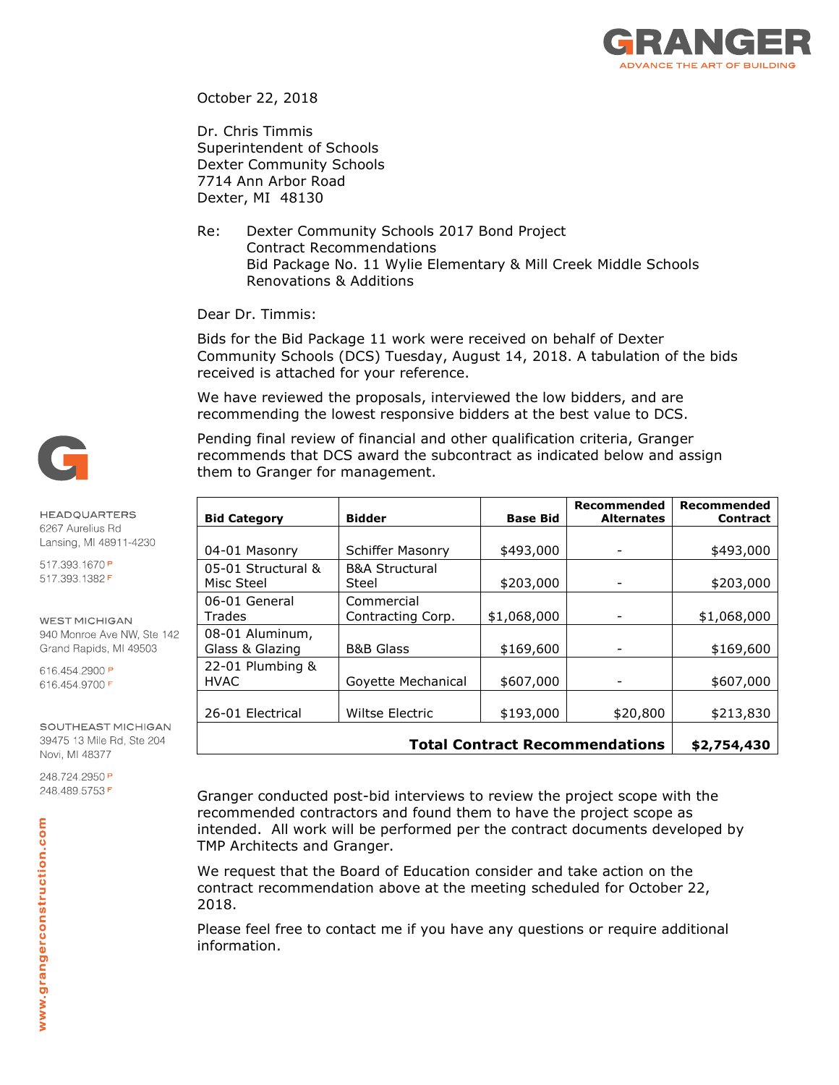

October 22, 2018

Dr. Chris Timmis Superintendent of Schools Dexter Community Schools 7714 Ann Arbor Road Dexter, MI 48130

Re: Dexter Community Schools 2017 Bond Project Contract Recommendations Bid Package No. 11 Wylie Elementary & Mill Creek Middle Schools Renovations & Additions

Dear Dr. Timmis:

Bids for the Bid Package 11 work were received on behalf of Dexter Community Schools (DCS) Tuesday, August 14, 2018. A tabulation of the bids received is attached for your reference.

We have reviewed the proposals, interviewed the low bidders, and are recommending the lowest responsive bidders at the best value to DCS.

Pending final review of financial and other qualification criteria, Granger recommends that DCS award the subcontract as indicated below and assign them to Granger for management.

| <b>Bid Category</b> | <b>Bidder</b>             | <b>Base Bid</b> | Recommended<br><b>Alternates</b>      | Recommended<br><b>Contract</b> |  |
|---------------------|---------------------------|-----------------|---------------------------------------|--------------------------------|--|
|                     |                           |                 |                                       |                                |  |
| 04-01 Masonry       | Schiffer Masonry          | \$493,000       |                                       | \$493,000                      |  |
| 05-01 Structural &  | <b>B&amp;A Structural</b> |                 |                                       |                                |  |
| Misc Steel          | Steel                     | \$203,000       |                                       | \$203,000                      |  |
| 06-01 General       | Commercial                |                 |                                       |                                |  |
| Trades              | Contracting Corp.         | \$1,068,000     |                                       | \$1,068,000                    |  |
| 08-01 Aluminum,     |                           |                 |                                       |                                |  |
| Glass & Glazing     | <b>B&amp;B Glass</b>      | \$169,600       |                                       | \$169,600                      |  |
| 22-01 Plumbing &    |                           |                 |                                       |                                |  |
| <b>HVAC</b>         | Goyette Mechanical        | \$607,000       |                                       | \$607,000                      |  |
|                     |                           |                 |                                       |                                |  |
| 26-01 Electrical    | Wiltse Electric           | \$193,000       | \$20,800                              | \$213,830                      |  |
|                     |                           |                 | <b>Total Contract Recommendations</b> |                                |  |
|                     | \$2,754,430               |                 |                                       |                                |  |

Granger conducted post-bid interviews to review the project scope with the recommended contractors and found them to have the project scope as intended. All work will be performed per the contract documents developed by TMP Architects and Granger.

We request that the Board of Education consider and take action on the contract recommendation above at the meeting scheduled for October 22, 2018.

Please feel free to contact me if you have any questions or require additional information.



## **HEADQUARTERS** 6267 Aurelius Rd Lansing, MI 48911-4230

517.393.1670P 517.393.1382F

**WEST MICHIGAN** 

940 Monroe Ave NW, Ste 142 Grand Rapids, MI 49503

616.454.2900 P 616.454.9700F

SOUTHEAST MICHIGAN 39475 13 Mile Rd, Ste 204 Novi, MI 48377

248.724.2950P 248.489.5753F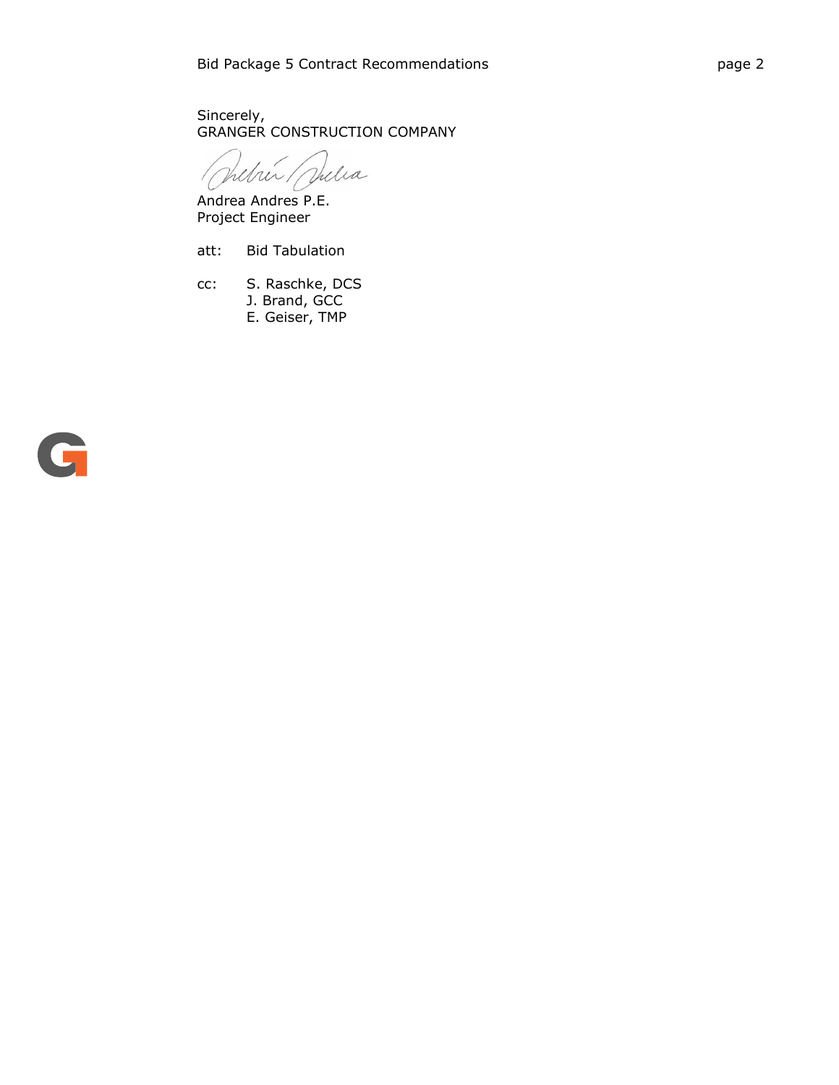Sincerely, GRANGER CONSTRUCTION COMPANY

Jehren / Villa

Andrea Andres P.E. Project Engineer

att: Bid Tabulation

cc: S. Raschke, DCS

- J. Brand, GCC
- E. Geiser, TMP